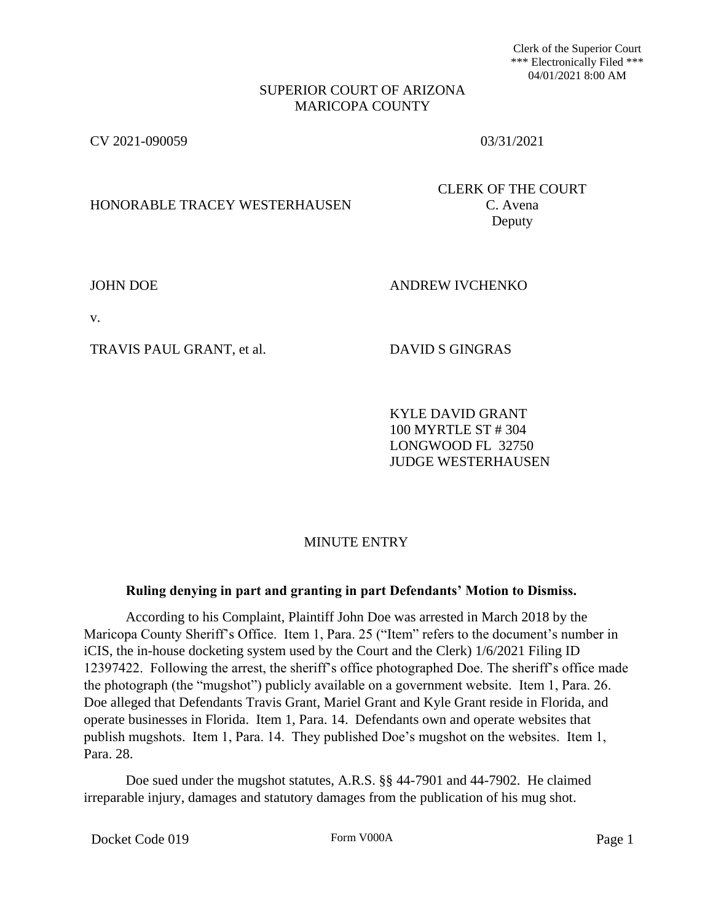Clerk of the Superior Court \*\*\* Electronically Filed \*\*\* 04/01/2021 8:00 AM

### SUPERIOR COURT OF ARIZONA MARICOPA COUNTY

CV 2021-090059 03/31/2021

# HONORABLE TRACEY WESTERHAUSEN C. Avena

CLERK OF THE COURT Deputy

JOHN DOE ANDREW IVCHENKO

v.

TRAVIS PAUL GRANT, et al. DAVID S GINGRAS

KYLE DAVID GRANT 100 MYRTLE ST # 304 LONGWOOD FL 32750 JUDGE WESTERHAUSEN

# MINUTE ENTRY

## **Ruling denying in part and granting in part Defendants' Motion to Dismiss.**

According to his Complaint, Plaintiff John Doe was arrested in March 2018 by the Maricopa County Sheriff's Office. Item 1, Para. 25 ("Item" refers to the document's number in iCIS, the in-house docketing system used by the Court and the Clerk) 1/6/2021 Filing ID 12397422. Following the arrest, the sheriff's office photographed Doe. The sheriff's office made the photograph (the "mugshot") publicly available on a government website. Item 1, Para. 26. Doe alleged that Defendants Travis Grant, Mariel Grant and Kyle Grant reside in Florida, and operate businesses in Florida. Item 1, Para. 14. Defendants own and operate websites that publish mugshots. Item 1, Para. 14. They published Doe's mugshot on the websites. Item 1, Para. 28.

Doe sued under the mugshot statutes, A.R.S. §§ 44-7901 and 44-7902. He claimed irreparable injury, damages and statutory damages from the publication of his mug shot.

Docket Code 019 Form V000A Form V000A Page 1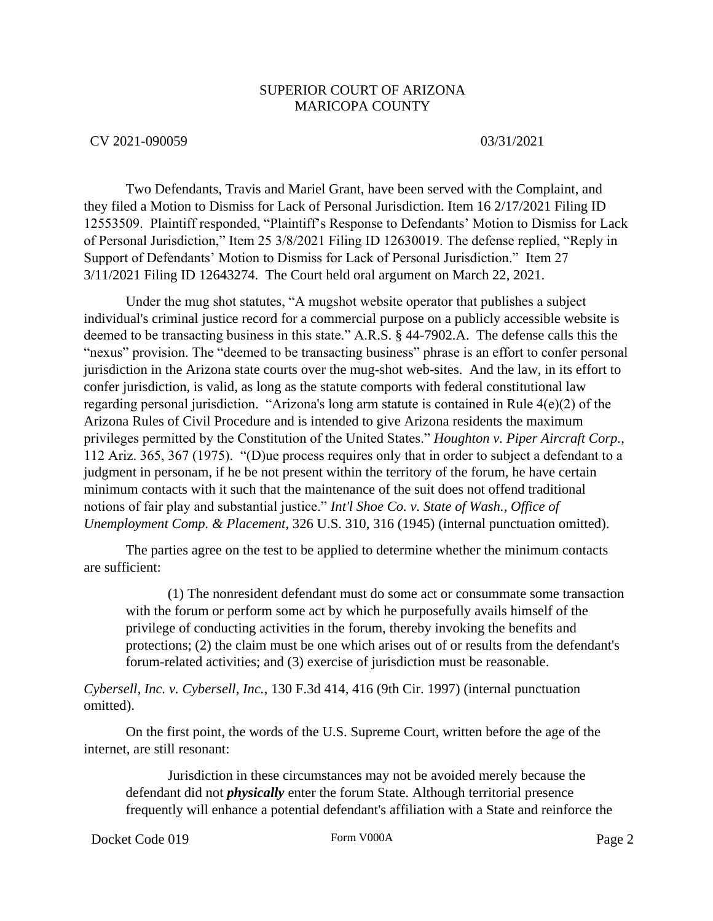## SUPERIOR COURT OF ARIZONA MARICOPA COUNTY

### CV 2021-090059 03/31/2021

Two Defendants, Travis and Mariel Grant, have been served with the Complaint, and they filed a Motion to Dismiss for Lack of Personal Jurisdiction. Item 16 2/17/2021 Filing ID 12553509. Plaintiff responded, "Plaintiff's Response to Defendants' Motion to Dismiss for Lack of Personal Jurisdiction," Item 25 3/8/2021 Filing ID 12630019. The defense replied, "Reply in Support of Defendants' Motion to Dismiss for Lack of Personal Jurisdiction." Item 27 3/11/2021 Filing ID 12643274. The Court held oral argument on March 22, 2021.

Under the mug shot statutes, "A mugshot website operator that publishes a subject individual's criminal justice record for a commercial purpose on a publicly accessible website is deemed to be transacting business in this state." A.R.S. § 44-7902.A. The defense calls this the "nexus" provision. The "deemed to be transacting business" phrase is an effort to confer personal jurisdiction in the Arizona state courts over the mug-shot web-sites. And the law, in its effort to confer jurisdiction, is valid, as long as the statute comports with federal constitutional law regarding personal jurisdiction. "Arizona's long arm statute is contained in Rule 4(e)(2) of the Arizona Rules of Civil Procedure and is intended to give Arizona residents the maximum privileges permitted by the Constitution of the United States." *Houghton v. Piper Aircraft Corp.*, 112 Ariz. 365, 367 (1975). "(D)ue process requires only that in order to subject a defendant to a judgment in personam, if he be not present within the territory of the forum, he have certain minimum contacts with it such that the maintenance of the suit does not offend traditional notions of fair play and substantial justice." *Int'l Shoe Co. v. State of Wash., Office of Unemployment Comp. & Placement*, 326 U.S. 310, 316 (1945) (internal punctuation omitted).

The parties agree on the test to be applied to determine whether the minimum contacts are sufficient:

(1) The nonresident defendant must do some act or consummate some transaction with the forum or perform some act by which he purposefully avails himself of the privilege of conducting activities in the forum, thereby invoking the benefits and protections; (2) the claim must be one which arises out of or results from the defendant's forum-related activities; and (3) exercise of jurisdiction must be reasonable.

*Cybersell, Inc. v. Cybersell, Inc.*, 130 F.3d 414, 416 (9th Cir. 1997) (internal punctuation omitted).

On the first point, the words of the U.S. Supreme Court, written before the age of the internet, are still resonant:

Jurisdiction in these circumstances may not be avoided merely because the defendant did not *physically* enter the forum State. Although territorial presence frequently will enhance a potential defendant's affiliation with a State and reinforce the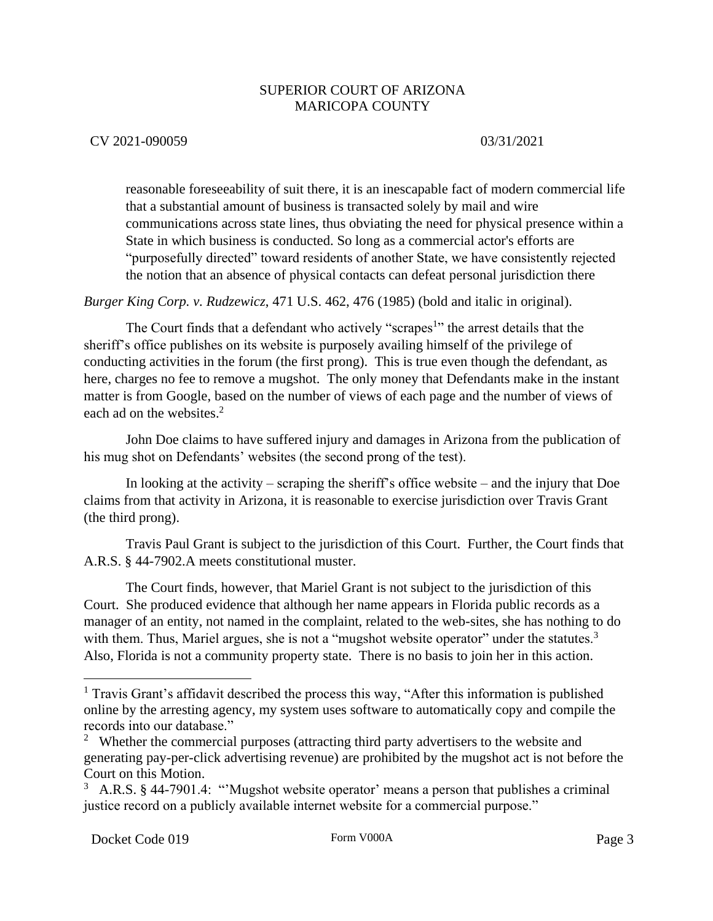## SUPERIOR COURT OF ARIZONA MARICOPA COUNTY

## CV 2021-090059 03/31/2021

reasonable foreseeability of suit there, it is an inescapable fact of modern commercial life that a substantial amount of business is transacted solely by mail and wire communications across state lines, thus obviating the need for physical presence within a State in which business is conducted. So long as a commercial actor's efforts are "purposefully directed" toward residents of another State, we have consistently rejected the notion that an absence of physical contacts can defeat personal jurisdiction there

*Burger King Corp. v. Rudzewicz*, 471 U.S. 462, 476 (1985) (bold and italic in original).

The Court finds that a defendant who actively "scrapes<sup>1</sup>" the arrest details that the sheriff's office publishes on its website is purposely availing himself of the privilege of conducting activities in the forum (the first prong). This is true even though the defendant, as here, charges no fee to remove a mugshot. The only money that Defendants make in the instant matter is from Google, based on the number of views of each page and the number of views of each ad on the websites.<sup>2</sup>

John Doe claims to have suffered injury and damages in Arizona from the publication of his mug shot on Defendants' websites (the second prong of the test).

In looking at the activity – scraping the sheriff's office website – and the injury that Doe claims from that activity in Arizona, it is reasonable to exercise jurisdiction over Travis Grant (the third prong).

Travis Paul Grant is subject to the jurisdiction of this Court. Further, the Court finds that A.R.S. § 44-7902.A meets constitutional muster.

The Court finds, however, that Mariel Grant is not subject to the jurisdiction of this Court. She produced evidence that although her name appears in Florida public records as a manager of an entity, not named in the complaint, related to the web-sites, she has nothing to do with them. Thus, Mariel argues, she is not a "mugshot website operator" under the statutes. $3$ Also, Florida is not a community property state. There is no basis to join her in this action.

 $\overline{a}$ 

 $<sup>1</sup>$  Travis Grant's affidavit described the process this way, "After this information is published</sup> online by the arresting agency, my system uses software to automatically copy and compile the records into our database."

<sup>&</sup>lt;sup>2</sup> Whether the commercial purposes (attracting third party advertisers to the website and generating pay-per-click advertising revenue) are prohibited by the mugshot act is not before the Court on this Motion.

<sup>&</sup>lt;sup>3</sup> A.R.S. § 44-7901.4: "Mugshot website operator' means a person that publishes a criminal justice record on a publicly available internet website for a commercial purpose."